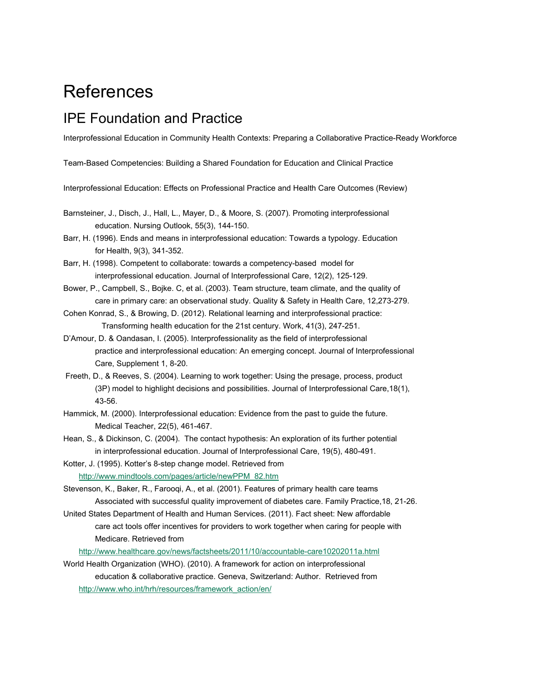# References

#### IPE Foundation and Practice

Interprofessional Education in Community Health Contexts: Preparing a Collaborative Practice-Ready Workforce

Team-Based Competencies: Building a Shared Foundation for Education and Clinical Practice

Interprofessional Education: Effects on Professional Practice and Health Care Outcomes (Review)

- Barnsteiner, J., Disch, J., Hall, L., Mayer, D., & Moore, S. (2007). Promoting interprofessional education. Nursing Outlook, 55(3), 144-150.
- Barr, H. (1996). Ends and means in interprofessional education: Towards a typology. Education for Health, 9(3), 341-352.
- Barr, H. (1998). Competent to collaborate: towards a competency-based model for interprofessional education. Journal of Interprofessional Care, 12(2), 125-129.
- Bower, P., Campbell, S., Bojke. C, et al. (2003). Team structure, team climate, and the quality of care in primary care: an observational study. Quality & Safety in Health Care, 12,273-279.
- Cohen Konrad, S., & Browing, D. (2012). Relational learning and interprofessional practice: Transforming health education for the 21st century. Work, 41(3), 247-251.
- D'Amour, D. & Oandasan, I. (2005). Interprofessionality as the field of interprofessional practice and interprofessional education: An emerging concept. Journal of Interprofessional Care, Supplement 1, 8-20.
- Freeth, D., & Reeves, S. (2004). Learning to work together: Using the presage, process, product (3P) model to highlight decisions and possibilities. Journal of Interprofessional Care,18(1), 43-56.
- Hammick, M. (2000). Interprofessional education: Evidence from the past to guide the future. Medical Teacher, 22(5), 461-467.
- Hean, S., & Dickinson, C. (2004). The contact hypothesis: An exploration of its further potential in interprofessional education. Journal of Interprofessional Care, 19(5), 480-491.
- Kotter, J. (1995). Kotter's 8-step change model. Retrieved from [http://www.mindtools.com/pages/article/newPPM\\_82.htm](http://www.mindtools.com/pages/article/newPPM_82.htm)
- Stevenson, K., Baker, R., Farooqi, A., et al. (2001). Features of primary health care teams Associated with successful quality improvement of diabetes care. Family Practice,18, 21-26.
- United States Department of Health and Human Services. (2011). Fact sheet: New affordable care act tools offer incentives for providers to work together when caring for people with Medicare. Retrieved from

<http://www.healthcare.gov/news/factsheets/2011/10/accountable-care10202011a.html>

World Health Organization (WHO). (2010). A framework for action on interprofessional education & collaborative practice. Geneva, Switzerland: Author. Retrieved from [http://www.who.int/hrh/resources/framework\\_action/en/](http://www.who.int/hrh/resources/framework_action/en/)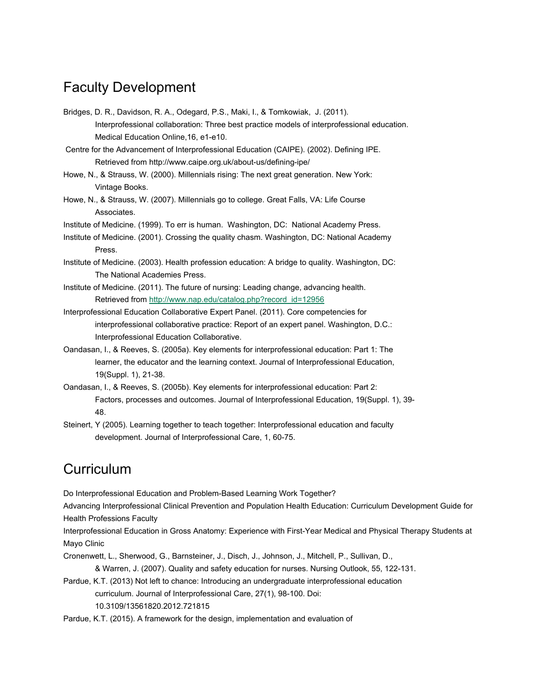### Faculty Development

Bridges, D. R., Davidson, R. A., Odegard, P.S., Maki, I., & Tomkowiak, J. (2011). Interprofessional collaboration: Three best practice models of interprofessional education. Medical Education Online,16, e1-e10.

 Centre for the Advancement of Interprofessional Education (CAIPE). (2002). Defining IPE. Retrieved from http://www.caipe.org.uk/about-us/defining-ipe/

Howe, N., & Strauss, W. (2000). Millennials rising: The next great generation. New York: Vintage Books.

Howe, N., & Strauss, W. (2007). Millennials go to college. Great Falls, VA: Life Course Associates.

Institute of Medicine. (1999). To err is human. Washington, DC: National Academy Press.

Institute of Medicine. (2001). Crossing the quality chasm. Washington, DC: National Academy Press.

Institute of Medicine. (2003). Health profession education: A bridge to quality. Washington, DC: The National Academies Press.

Institute of Medicine. (2011). The future of nursing: Leading change, advancing health. Retrieved from [http://www.nap.edu/catalog.php?record\\_id=12956](http://www.nap.edu/catalog.php?record_id=12956)

Interprofessional Education Collaborative Expert Panel. (2011). Core competencies for interprofessional collaborative practice: Report of an expert panel. Washington, D.C.: Interprofessional Education Collaborative.

- Oandasan, I., & Reeves, S. (2005a). Key elements for interprofessional education: Part 1: The learner, the educator and the learning context. Journal of Interprofessional Education, 19(Suppl. 1), 21-38.
- Oandasan, I., & Reeves, S. (2005b). Key elements for interprofessional education: Part 2: Factors, processes and outcomes. Journal of Interprofessional Education, 19(Suppl. 1), 39- 48.

Steinert, Y (2005). Learning together to teach together: Interprofessional education and faculty development. Journal of Interprofessional Care, 1, 60-75.

## **Curriculum**

Do Interprofessional Education and Problem-Based Learning Work Together?

Advancing Interprofessional Clinical Prevention and Population Health Education: Curriculum Development Guide for Health Professions Faculty

Interprofessional Education in Gross Anatomy: Experience with First-Year Medical and Physical Therapy Students at Mayo Clinic

Cronenwett, L., Sherwood, G., Barnsteiner, J., Disch, J., Johnson, J., Mitchell, P., Sullivan, D., & Warren, J. (2007). Quality and safety education for nurses. Nursing Outlook, 55, 122-131.

Pardue, K.T. (2013) Not left to chance: Introducing an undergraduate interprofessional education curriculum. Journal of Interprofessional Care, 27(1), 98-100. Doi: 10.3109/13561820.2012.721815

Pardue, K.T. (2015). A framework for the design, implementation and evaluation of